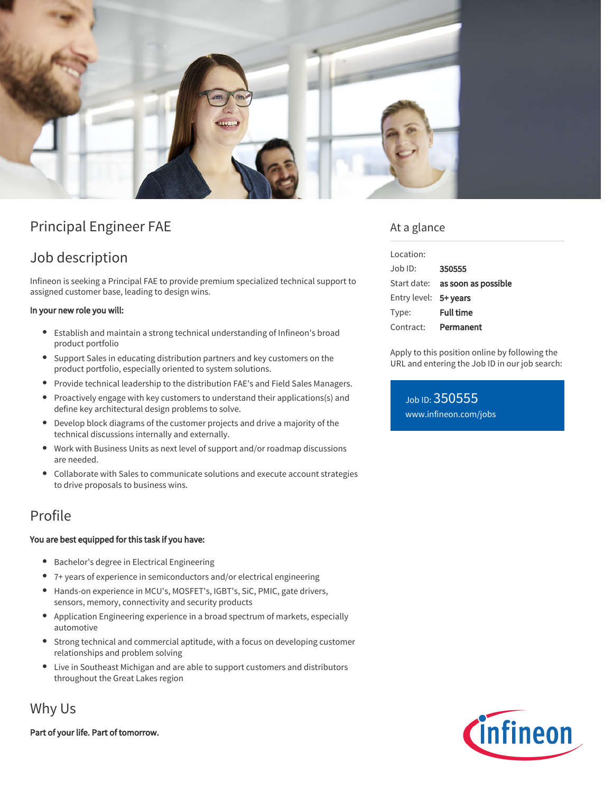

# Principal Engineer FAE

# Job description

Infineon is seeking a Principal FAE to provide premium specialized technical support to assigned customer base, leading to design wins.

#### In your new role you will:

- Establish and maintain a strong technical understanding of Infineon's broad product portfolio
- $\bullet$ Support Sales in educating distribution partners and key customers on the product portfolio, especially oriented to system solutions.
- Provide technical leadership to the distribution FAE's and Field Sales Managers.
- Proactively engage with key customers to understand their applications(s) and  $\bullet$ define key architectural design problems to solve.
- $\bullet$ Develop block diagrams of the customer projects and drive a majority of the technical discussions internally and externally.
- Work with Business Units as next level of support and/or roadmap discussions are needed.
- Collaborate with Sales to communicate solutions and execute account strategies to drive proposals to business wins.

## Profile

#### You are best equipped for this task if you have:

- Bachelor's degree in Electrical Engineering
- 7+ years of experience in semiconductors and/or electrical engineering
- Hands-on experience in MCU's, MOSFET's, IGBT's, SiC, PMIC, gate drivers, sensors, memory, connectivity and security products
- Application Engineering experience in a broad spectrum of markets, especially automotive
- Strong technical and commercial aptitude, with a focus on developing customer relationships and problem solving
- $\bullet$ Live in Southeast Michigan and are able to support customers and distributors throughout the Great Lakes region

## Why Us

Part of your life. Part of tomorrow.

### At a glance

| Location:             |                                        |
|-----------------------|----------------------------------------|
| $Joh$ ID:             | 350555                                 |
|                       | Start date: <b>as soon as possible</b> |
| Entry level: 5+ years |                                        |
| Type:                 | <b>Full time</b>                       |
| Contract:             | Permanent                              |

Apply to this position online by following the URL and entering the Job ID in our job search:

Job ID: 350555 [www.infineon.com/jobs](https://www.infineon.com/jobs)